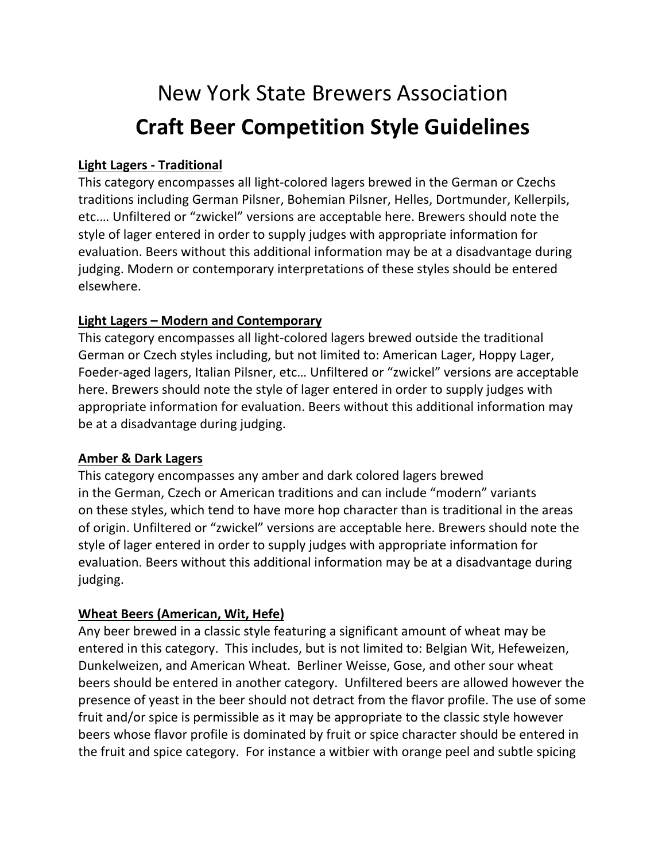# New York State Brewers Association **Craft Beer Competition Style Guidelines**

## **Light Lagers - Traditional**

This category encompasses all light-colored lagers brewed in the German or Czechs traditions including German Pilsner, Bohemian Pilsner, Helles, Dortmunder, Kellerpils, etc.… Unfiltered or "zwickel" versions are acceptable here. Brewers should note the style of lager entered in order to supply judges with appropriate information for evaluation. Beers without this additional information may be at a disadvantage during judging. Modern or contemporary interpretations of these styles should be entered elsewhere.

## **Light Lagers – Modern and Contemporary**

This category encompasses all light-colored lagers brewed outside the traditional German or Czech styles including, but not limited to: American Lager, Hoppy Lager, Foeder-aged lagers, Italian Pilsner, etc… Unfiltered or "zwickel" versions are acceptable here. Brewers should note the style of lager entered in order to supply judges with appropriate information for evaluation. Beers without this additional information may be at a disadvantage during judging.

### **Amber & Dark Lagers**

This category encompasses any amber and dark colored lagers brewed in the German, Czech or American traditions and can include "modern" variants on these styles, which tend to have more hop character than is traditional in the areas of origin. Unfiltered or "zwickel" versions are acceptable here. Brewers should note the style of lager entered in order to supply judges with appropriate information for evaluation. Beers without this additional information may be at a disadvantage during judging.

# **Wheat Beers (American, Wit, Hefe)**

Any beer brewed in a classic style featuring a significant amount of wheat may be entered in this category. This includes, but is not limited to: Belgian Wit, Hefeweizen, Dunkelweizen, and American Wheat. Berliner Weisse, Gose, and other sour wheat beers should be entered in another category. Unfiltered beers are allowed however the presence of yeast in the beer should not detract from the flavor profile. The use of some fruit and/or spice is permissible as it may be appropriate to the classic style however beers whose flavor profile is dominated by fruit or spice character should be entered in the fruit and spice category. For instance a witbier with orange peel and subtle spicing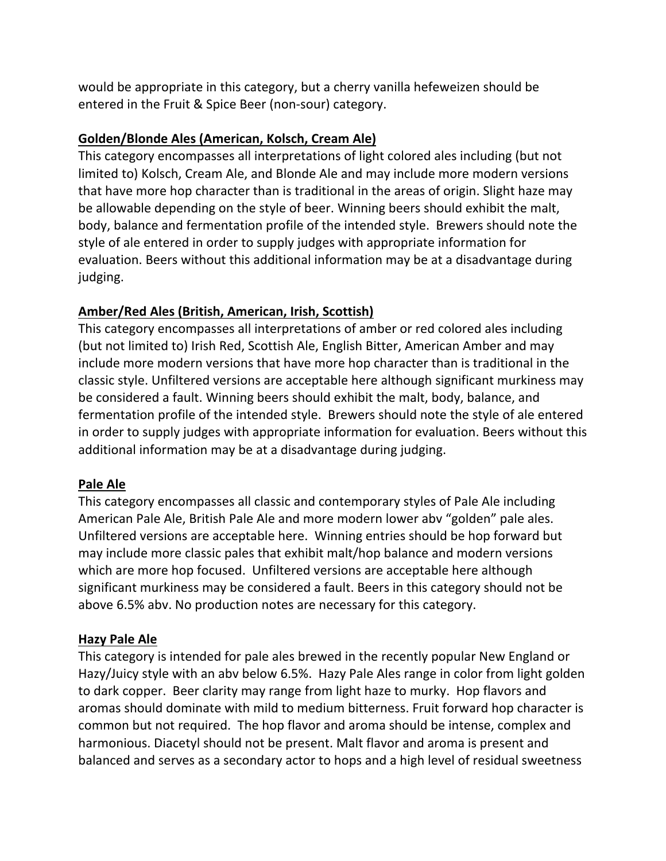would be appropriate in this category, but a cherry vanilla hefeweizen should be entered in the Fruit & Spice Beer (non-sour) category.

## **Golden/Blonde Ales (American, Kolsch, Cream Ale)**

This category encompasses all interpretations of light colored ales including (but not limited to) Kolsch, Cream Ale, and Blonde Ale and may include more modern versions that have more hop character than is traditional in the areas of origin. Slight haze may be allowable depending on the style of beer. Winning beers should exhibit the malt, body, balance and fermentation profile of the intended style. Brewers should note the style of ale entered in order to supply judges with appropriate information for evaluation. Beers without this additional information may be at a disadvantage during judging.

## **Amber/Red Ales (British, American, Irish, Scottish)**

This category encompasses all interpretations of amber or red colored ales including (but not limited to) Irish Red, Scottish Ale, English Bitter, American Amber and may include more modern versions that have more hop character than is traditional in the classic style. Unfiltered versions are acceptable here although significant murkiness may be considered a fault. Winning beers should exhibit the malt, body, balance, and fermentation profile of the intended style. Brewers should note the style of ale entered in order to supply judges with appropriate information for evaluation. Beers without this additional information may be at a disadvantage during judging.

# **Pale Ale**

This category encompasses all classic and contemporary styles of Pale Ale including American Pale Ale, British Pale Ale and more modern lower abv "golden" pale ales. Unfiltered versions are acceptable here. Winning entries should be hop forward but may include more classic pales that exhibit malt/hop balance and modern versions which are more hop focused. Unfiltered versions are acceptable here although significant murkiness may be considered a fault. Beers in this category should not be above 6.5% abv. No production notes are necessary for this category.

# **Hazy Pale Ale**

This category is intended for pale ales brewed in the recently popular New England or Hazy/Juicy style with an abv below 6.5%. Hazy Pale Ales range in color from light golden to dark copper. Beer clarity may range from light haze to murky. Hop flavors and aromas should dominate with mild to medium bitterness. Fruit forward hop character is common but not required. The hop flavor and aroma should be intense, complex and harmonious. Diacetyl should not be present. Malt flavor and aroma is present and balanced and serves as a secondary actor to hops and a high level of residual sweetness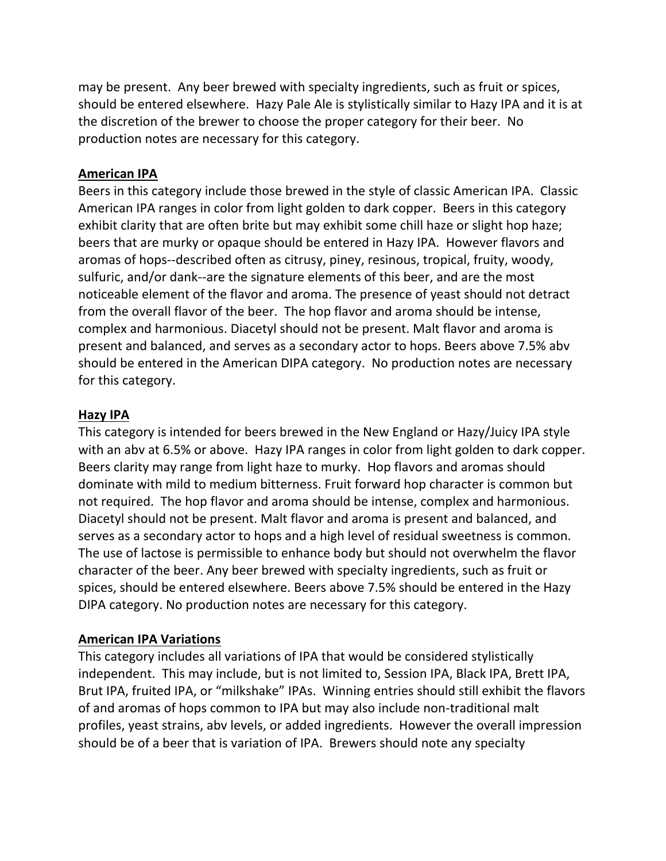may be present. Any beer brewed with specialty ingredients, such as fruit or spices, should be entered elsewhere. Hazy Pale Ale is stylistically similar to Hazy IPA and it is at the discretion of the brewer to choose the proper category for their beer. No production notes are necessary for this category.

#### **American IPA**

Beers in this category include those brewed in the style of classic American IPA. Classic American IPA ranges in color from light golden to dark copper. Beers in this category exhibit clarity that are often brite but may exhibit some chill haze or slight hop haze; beers that are murky or opaque should be entered in Hazy IPA. However flavors and aromas of hops--described often as citrusy, piney, resinous, tropical, fruity, woody, sulfuric, and/or dank--are the signature elements of this beer, and are the most noticeable element of the flavor and aroma. The presence of yeast should not detract from the overall flavor of the beer. The hop flavor and aroma should be intense, complex and harmonious. Diacetyl should not be present. Malt flavor and aroma is present and balanced, and serves as a secondary actor to hops. Beers above 7.5% abv should be entered in the American DIPA category. No production notes are necessary for this category.

#### **Hazy IPA**

This category is intended for beers brewed in the New England or Hazy/Juicy IPA style with an abv at 6.5% or above. Hazy IPA ranges in color from light golden to dark copper. Beers clarity may range from light haze to murky. Hop flavors and aromas should dominate with mild to medium bitterness. Fruit forward hop character is common but not required. The hop flavor and aroma should be intense, complex and harmonious. Diacetyl should not be present. Malt flavor and aroma is present and balanced, and serves as a secondary actor to hops and a high level of residual sweetness is common. The use of lactose is permissible to enhance body but should not overwhelm the flavor character of the beer. Any beer brewed with specialty ingredients, such as fruit or spices, should be entered elsewhere. Beers above 7.5% should be entered in the Hazy DIPA category. No production notes are necessary for this category.

### **American IPA Variations**

This category includes all variations of IPA that would be considered stylistically independent. This may include, but is not limited to, Session IPA, Black IPA, Brett IPA, Brut IPA, fruited IPA, or "milkshake" IPAs. Winning entries should still exhibit the flavors of and aromas of hops common to IPA but may also include non-traditional malt profiles, yeast strains, abv levels, or added ingredients. However the overall impression should be of a beer that is variation of IPA. Brewers should note any specialty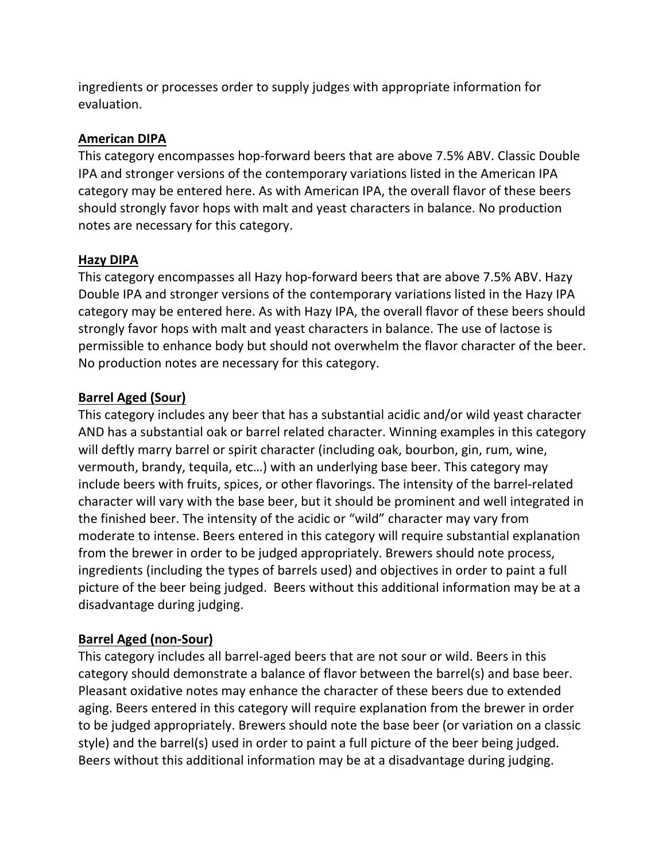ingredients or processes order to supply judges with appropriate information for evaluation.

## **American DIPA**

This category encompasses hop-forward beers that are above 7.5% ABV. Classic Double IPA and stronger versions of the contemporary variations listed in the American IPA category may be entered here. As with American IPA, the overall flavor of these beers should strongly favor hops with malt and yeast characters in balance. No production notes are necessary for this category.

### **Hazy DIPA**

This category encompasses all Hazy hop-forward beers that are above 7.5% ABV. Hazy Double IPA and stronger versions of the contemporary variations listed in the Hazy IPA category may be entered here. As with Hazy IPA, the overall flavor of these beers should strongly favor hops with malt and yeast characters in balance. The use of lactose is permissible to enhance body but should not overwhelm the flavor character of the beer. No production notes are necessary for this category.

# **Barrel Aged (Sour)**

This category includes any beer that has a substantial acidic and/or wild yeast character AND has a substantial oak or barrel related character. Winning examples in this category will deftly marry barrel or spirit character (including oak, bourbon, gin, rum, wine, vermouth, brandy, tequila, etc…) with an underlying base beer. This category may include beers with fruits, spices, or other flavorings. The intensity of the barrel-related character will vary with the base beer, but it should be prominent and well integrated in the finished beer. The intensity of the acidic or "wild" character may vary from moderate to intense. Beers entered in this category will require substantial explanation from the brewer in order to be judged appropriately. Brewers should note process, ingredients (including the types of barrels used) and objectives in order to paint a full picture of the beer being judged. Beers without this additional information may be at a disadvantage during judging.

# **Barrel Aged (non-Sour)**

This category includes all barrel-aged beers that are not sour or wild. Beers in this category should demonstrate a balance of flavor between the barrel(s) and base beer. Pleasant oxidative notes may enhance the character of these beers due to extended aging. Beers entered in this category will require explanation from the brewer in order to be judged appropriately. Brewers should note the base beer (or variation on a classic style) and the barrel(s) used in order to paint a full picture of the beer being judged. Beers without this additional information may be at a disadvantage during judging.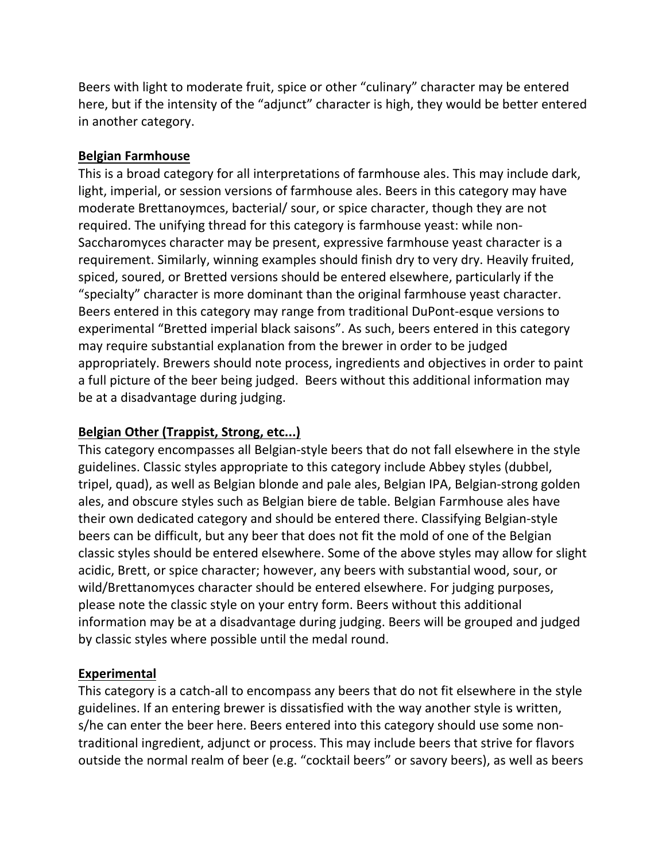Beers with light to moderate fruit, spice or other "culinary" character may be entered here, but if the intensity of the "adjunct" character is high, they would be better entered in another category.

### **Belgian Farmhouse**

This is a broad category for all interpretations of farmhouse ales. This may include dark, light, imperial, or session versions of farmhouse ales. Beers in this category may have moderate Brettanoymces, bacterial/ sour, or spice character, though they are not required. The unifying thread for this category is farmhouse yeast: while non-Saccharomyces character may be present, expressive farmhouse yeast character is a requirement. Similarly, winning examples should finish dry to very dry. Heavily fruited, spiced, soured, or Bretted versions should be entered elsewhere, particularly if the "specialty" character is more dominant than the original farmhouse yeast character. Beers entered in this category may range from traditional DuPont-esque versions to experimental "Bretted imperial black saisons". As such, beers entered in this category may require substantial explanation from the brewer in order to be judged appropriately. Brewers should note process, ingredients and objectives in order to paint a full picture of the beer being judged. Beers without this additional information may be at a disadvantage during judging.

### **Belgian Other (Trappist, Strong, etc...)**

This category encompasses all Belgian-style beers that do not fall elsewhere in the style guidelines. Classic styles appropriate to this category include Abbey styles (dubbel, tripel, quad), as well as Belgian blonde and pale ales, Belgian IPA, Belgian-strong golden ales, and obscure styles such as Belgian biere de table. Belgian Farmhouse ales have their own dedicated category and should be entered there. Classifying Belgian-style beers can be difficult, but any beer that does not fit the mold of one of the Belgian classic styles should be entered elsewhere. Some of the above styles may allow for slight acidic, Brett, or spice character; however, any beers with substantial wood, sour, or wild/Brettanomyces character should be entered elsewhere. For judging purposes, please note the classic style on your entry form. Beers without this additional information may be at a disadvantage during judging. Beers will be grouped and judged by classic styles where possible until the medal round.

### **Experimental**

This category is a catch-all to encompass any beers that do not fit elsewhere in the style guidelines. If an entering brewer is dissatisfied with the way another style is written, s/he can enter the beer here. Beers entered into this category should use some nontraditional ingredient, adjunct or process. This may include beers that strive for flavors outside the normal realm of beer (e.g. "cocktail beers" or savory beers), as well as beers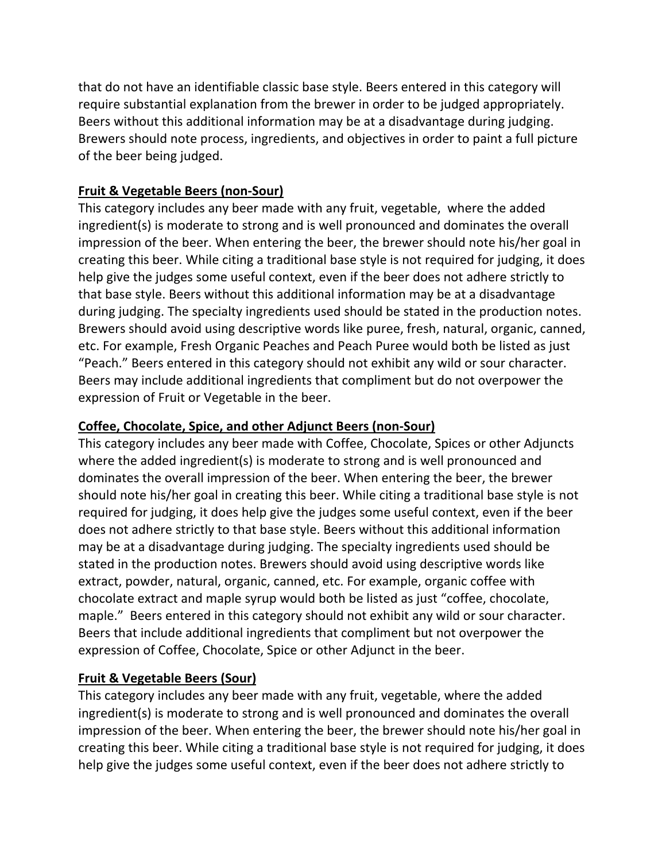that do not have an identifiable classic base style. Beers entered in this category will require substantial explanation from the brewer in order to be judged appropriately. Beers without this additional information may be at a disadvantage during judging. Brewers should note process, ingredients, and objectives in order to paint a full picture of the beer being judged.

# **Fruit & Vegetable Beers (non-Sour)**

This category includes any beer made with any fruit, vegetable, where the added ingredient(s) is moderate to strong and is well pronounced and dominates the overall impression of the beer. When entering the beer, the brewer should note his/her goal in creating this beer. While citing a traditional base style is not required for judging, it does help give the judges some useful context, even if the beer does not adhere strictly to that base style. Beers without this additional information may be at a disadvantage during judging. The specialty ingredients used should be stated in the production notes. Brewers should avoid using descriptive words like puree, fresh, natural, organic, canned, etc. For example, Fresh Organic Peaches and Peach Puree would both be listed as just "Peach." Beers entered in this category should not exhibit any wild or sour character. Beers may include additional ingredients that compliment but do not overpower the expression of Fruit or Vegetable in the beer.

# **Coffee, Chocolate, Spice, and other Adjunct Beers (non-Sour)**

This category includes any beer made with Coffee, Chocolate, Spices or other Adjuncts where the added ingredient(s) is moderate to strong and is well pronounced and dominates the overall impression of the beer. When entering the beer, the brewer should note his/her goal in creating this beer. While citing a traditional base style is not required for judging, it does help give the judges some useful context, even if the beer does not adhere strictly to that base style. Beers without this additional information may be at a disadvantage during judging. The specialty ingredients used should be stated in the production notes. Brewers should avoid using descriptive words like extract, powder, natural, organic, canned, etc. For example, organic coffee with chocolate extract and maple syrup would both be listed as just "coffee, chocolate, maple." Beers entered in this category should not exhibit any wild or sour character. Beers that include additional ingredients that compliment but not overpower the expression of Coffee, Chocolate, Spice or other Adjunct in the beer.

# **Fruit & Vegetable Beers (Sour)**

This category includes any beer made with any fruit, vegetable, where the added ingredient(s) is moderate to strong and is well pronounced and dominates the overall impression of the beer. When entering the beer, the brewer should note his/her goal in creating this beer. While citing a traditional base style is not required for judging, it does help give the judges some useful context, even if the beer does not adhere strictly to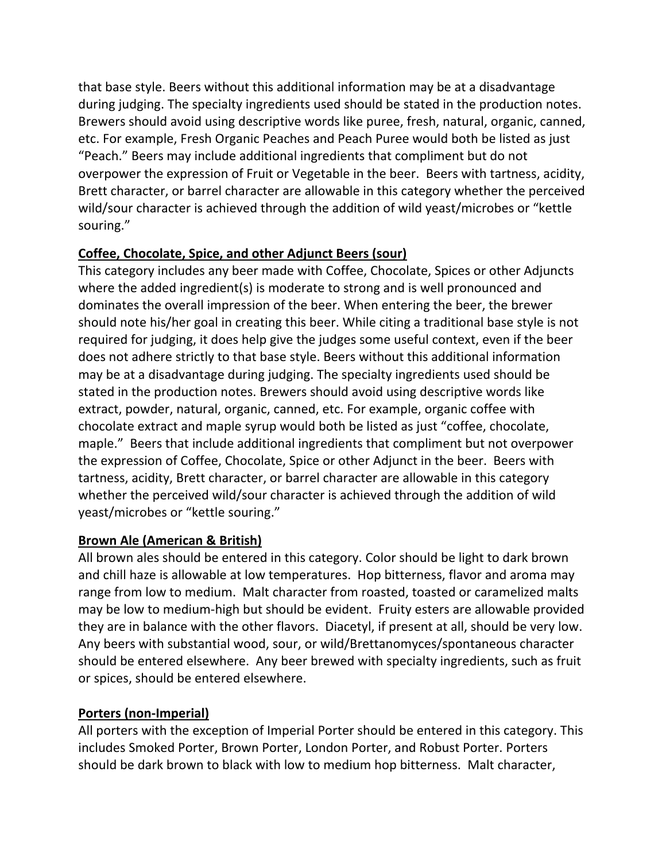that base style. Beers without this additional information may be at a disadvantage during judging. The specialty ingredients used should be stated in the production notes. Brewers should avoid using descriptive words like puree, fresh, natural, organic, canned, etc. For example, Fresh Organic Peaches and Peach Puree would both be listed as just "Peach." Beers may include additional ingredients that compliment but do not overpower the expression of Fruit or Vegetable in the beer. Beers with tartness, acidity, Brett character, or barrel character are allowable in this category whether the perceived wild/sour character is achieved through the addition of wild yeast/microbes or "kettle souring."

# **Coffee, Chocolate, Spice, and other Adjunct Beers (sour)**

This category includes any beer made with Coffee, Chocolate, Spices or other Adjuncts where the added ingredient(s) is moderate to strong and is well pronounced and dominates the overall impression of the beer. When entering the beer, the brewer should note his/her goal in creating this beer. While citing a traditional base style is not required for judging, it does help give the judges some useful context, even if the beer does not adhere strictly to that base style. Beers without this additional information may be at a disadvantage during judging. The specialty ingredients used should be stated in the production notes. Brewers should avoid using descriptive words like extract, powder, natural, organic, canned, etc. For example, organic coffee with chocolate extract and maple syrup would both be listed as just "coffee, chocolate, maple." Beers that include additional ingredients that compliment but not overpower the expression of Coffee, Chocolate, Spice or other Adjunct in the beer. Beers with tartness, acidity, Brett character, or barrel character are allowable in this category whether the perceived wild/sour character is achieved through the addition of wild yeast/microbes or "kettle souring."

### **Brown Ale (American & British)**

All brown ales should be entered in this category. Color should be light to dark brown and chill haze is allowable at low temperatures. Hop bitterness, flavor and aroma may range from low to medium. Malt character from roasted, toasted or caramelized malts may be low to medium-high but should be evident. Fruity esters are allowable provided they are in balance with the other flavors. Diacetyl, if present at all, should be very low. Any beers with substantial wood, sour, or wild/Brettanomyces/spontaneous character should be entered elsewhere. Any beer brewed with specialty ingredients, such as fruit or spices, should be entered elsewhere.

# **Porters (non-Imperial)**

All porters with the exception of Imperial Porter should be entered in this category. This includes Smoked Porter, Brown Porter, London Porter, and Robust Porter. Porters should be dark brown to black with low to medium hop bitterness. Malt character,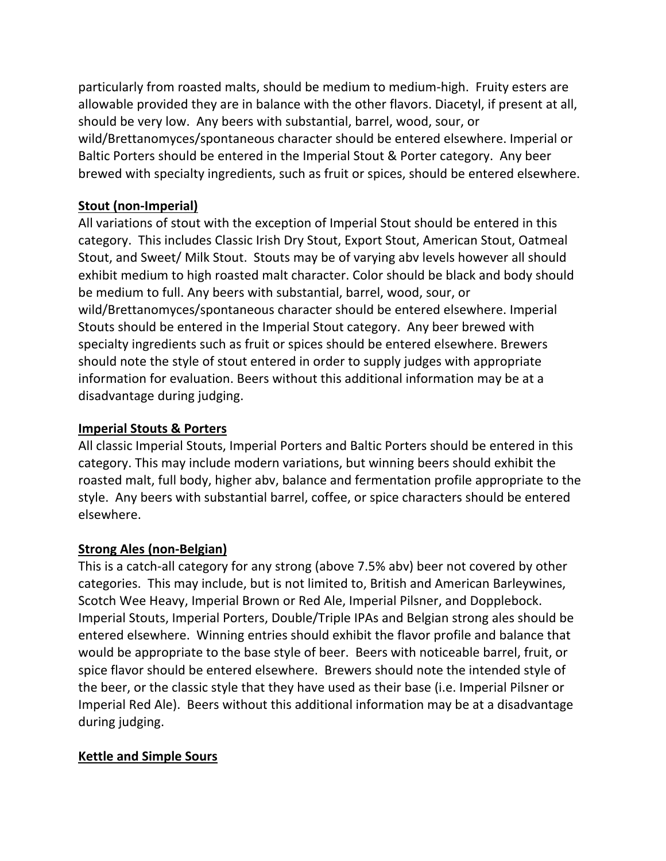particularly from roasted malts, should be medium to medium-high. Fruity esters are allowable provided they are in balance with the other flavors. Diacetyl, if present at all, should be very low. Any beers with substantial, barrel, wood, sour, or wild/Brettanomyces/spontaneous character should be entered elsewhere. Imperial or Baltic Porters should be entered in the Imperial Stout & Porter category. Any beer brewed with specialty ingredients, such as fruit or spices, should be entered elsewhere.

## **Stout (non-Imperial)**

All variations of stout with the exception of Imperial Stout should be entered in this category. This includes Classic Irish Dry Stout, Export Stout, American Stout, Oatmeal Stout, and Sweet/ Milk Stout. Stouts may be of varying abv levels however all should exhibit medium to high roasted malt character. Color should be black and body should be medium to full. Any beers with substantial, barrel, wood, sour, or wild/Brettanomyces/spontaneous character should be entered elsewhere. Imperial Stouts should be entered in the Imperial Stout category. Any beer brewed with specialty ingredients such as fruit or spices should be entered elsewhere. Brewers should note the style of stout entered in order to supply judges with appropriate information for evaluation. Beers without this additional information may be at a disadvantage during judging.

## **Imperial Stouts & Porters**

All classic Imperial Stouts, Imperial Porters and Baltic Porters should be entered in this category. This may include modern variations, but winning beers should exhibit the roasted malt, full body, higher abv, balance and fermentation profile appropriate to the style. Any beers with substantial barrel, coffee, or spice characters should be entered elsewhere.

### **Strong Ales (non-Belgian)**

This is a catch-all category for any strong (above 7.5% abv) beer not covered by other categories. This may include, but is not limited to, British and American Barleywines, Scotch Wee Heavy, Imperial Brown or Red Ale, Imperial Pilsner, and Dopplebock. Imperial Stouts, Imperial Porters, Double/Triple IPAs and Belgian strong ales should be entered elsewhere. Winning entries should exhibit the flavor profile and balance that would be appropriate to the base style of beer. Beers with noticeable barrel, fruit, or spice flavor should be entered elsewhere. Brewers should note the intended style of the beer, or the classic style that they have used as their base (i.e. Imperial Pilsner or Imperial Red Ale). Beers without this additional information may be at a disadvantage during judging.

### **Kettle and Simple Sours**